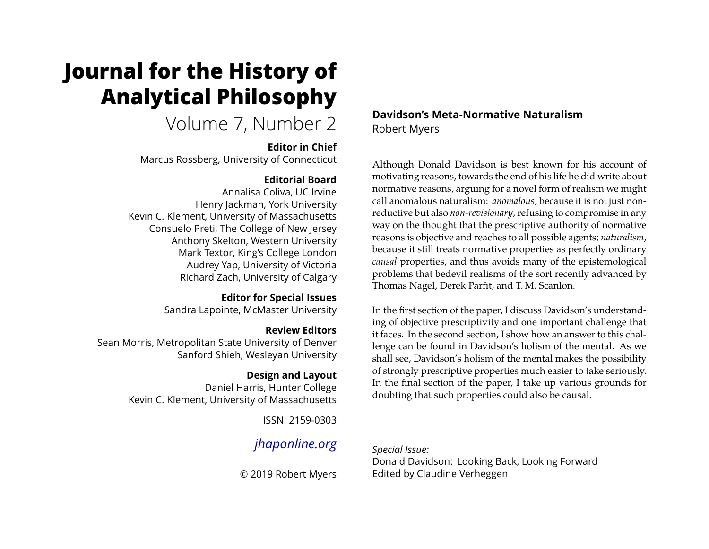# **Journal for the History of Analytical Philosophy**

Volume 7, Number 2

## **Editor in Chief**

Marcus Rossberg, University of Connecticut

## **Editorial Board**

Annalisa Coliva, UC Irvine Henry Jackman, York University Kevin C. Klement, University of Massachusetts Consuelo Preti, The College of New Jersey Anthony Skelton, Western University Mark Textor, King's College London Audrey Yap, University of Victoria Richard Zach, University of Calgary

> **Editor for Special Issues** Sandra Lapointe, McMaster University

## **Review Editors**

Sean Morris, Metropolitan State University of Denver Sanford Shieh, Wesleyan University

## **Design and Layout**

Daniel Harris, Hunter College Kevin C. Klement, University of Massachusetts

ISSN: 2159-0303

## *[jhaponline.org](https://jhaponline.org)*

© 2019 Robert Myers

**Davidson's Meta-Normative Naturalism** Robert Myers

Although Donald Davidson is best known for his account of motivating reasons, towards the end of his life he did write about normative reasons, arguing for a novel form of realism we might call anomalous naturalism: *anomalous*, because it is not just nonreductive but also *non-revisionary*, refusing to compromise in any way on the thought that the prescriptive authority of normative reasons is objective and reaches to all possible agents; *naturalism*, because it still treats normative properties as perfectly ordinary *causal* properties, and thus avoids many of the epistemological problems that bedevil realisms of the sort recently advanced by Thomas Nagel, Derek Parfit, and T. M. Scanlon.

In the first section of the paper, I discuss Davidson's understanding of objective prescriptivity and one important challenge that it faces. In the second section, I show how an answer to this challenge can be found in Davidson's holism of the mental. As we shall see, Davidson's holism of the mental makes the possibility of strongly prescriptive properties much easier to take seriously. In the final section of the paper, I take up various grounds for doubting that such properties could also be causal.

#### *Special Issue:*

Donald Davidson: Looking Back, Looking Forward Edited by Claudine Verheggen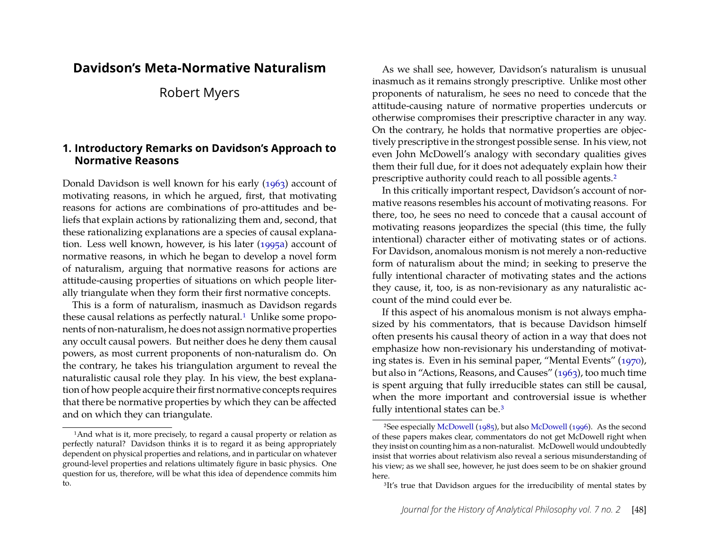## **Davidson's Meta-Normative Naturalism**

## Robert Myers

## **1. Introductory Remarks on Davidson's Approach to Normative Reasons**

Donald Davidson is well known for his early [\(1963\)](#page-10-0) account of motivating reasons, in which he argued, first, that motivating reasons for actions are combinations of pro-attitudes and beliefs that explain actions by rationalizing them and, second, that these rationalizing explanations are a species of causal explanation. Less well known, however, is his later [\(1995a\)](#page-10-1) account of normative reasons, in which he began to develop a novel form of naturalism, arguing that normative reasons for actions are attitude-causing properties of situations on which people literally triangulate when they form their first normative concepts.

This is a form of naturalism, inasmuch as Davidson regards these causal relations as perfectly natural.<sup>[1](#page-1-0)</sup> Unlike some proponents of non-naturalism, he does not assign normative properties any occult causal powers. But neither does he deny them causal powers, as most current proponents of non-naturalism do. On the contrary, he takes his triangulation argument to reveal the naturalistic causal role they play. In his view, the best explanation of how people acquire their first normative concepts requires that there be normative properties by which they can be affected and on which they can triangulate.

As we shall see, however, Davidson's naturalism is unusual inasmuch as it remains strongly prescriptive. Unlike most other proponents of naturalism, he sees no need to concede that the attitude-causing nature of normative properties undercuts or otherwise compromises their prescriptive character in any way. On the contrary, he holds that normative properties are objectively prescriptive in the strongest possible sense. In his view, not even John McDowell's analogy with secondary qualities gives them their full due, for it does not adequately explain how their prescriptive authority could reach to all possible agents.[2](#page-1-1)

In this critically important respect, Davidson's account of normative reasons resembles his account of motivating reasons. For there, too, he sees no need to concede that a causal account of motivating reasons jeopardizes the special (this time, the fully intentional) character either of motivating states or of actions. For Davidson, anomalous monism is not merely a non-reductive form of naturalism about the mind; in seeking to preserve the fully intentional character of motivating states and the actions they cause, it, too, is as non-revisionary as any naturalistic account of the mind could ever be.

If this aspect of his anomalous monism is not always emphasized by his commentators, that is because Davidson himself often presents his causal theory of action in a way that does not emphasize how non-revisionary his understanding of motivating states is. Even in his seminal paper, "Mental Events" [\(1970\)](#page-10-2), but also in "Actions, Reasons, and Causes" [\(1963\)](#page-10-0), too much time is spent arguing that fully irreducible states can still be causal, when the more important and controversial issue is whether fully intentional states can be.[3](#page-1-2)

<span id="page-1-0"></span><sup>&</sup>lt;sup>1</sup>And what is it, more precisely, to regard a causal property or relation as perfectly natural? Davidson thinks it is to regard it as being appropriately dependent on physical properties and relations, and in particular on whatever ground-level properties and relations ultimately figure in basic physics. One question for us, therefore, will be what this idea of dependence commits him to.

<span id="page-1-1"></span><sup>2</sup>See especially [McDowell](#page-10-3) [\(1985\)](#page-10-3), but also [McDowell](#page-10-4) [\(1996\)](#page-10-4). As the second of these papers makes clear, commentators do not get McDowell right when they insist on counting him as a non-naturalist. McDowell would undoubtedly insist that worries about relativism also reveal a serious misunderstanding of his view; as we shall see, however, he just does seem to be on shakier ground here.

<span id="page-1-2"></span><sup>&</sup>lt;sup>3</sup>It's true that Davidson argues for the irreducibility of mental states by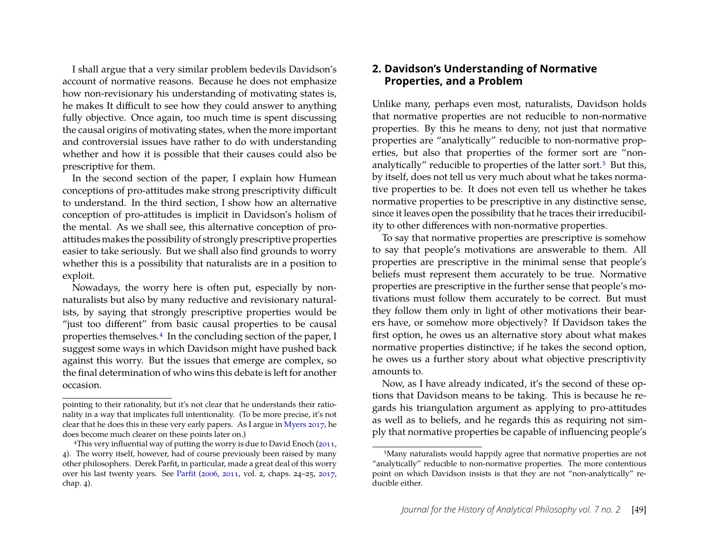I shall argue that a very similar problem bedevils Davidson's account of normative reasons. Because he does not emphasize how non-revisionary his understanding of motivating states is, he makes It difficult to see how they could answer to anything fully objective. Once again, too much time is spent discussing the causal origins of motivating states, when the more important and controversial issues have rather to do with understanding whether and how it is possible that their causes could also be prescriptive for them.

In the second section of the paper, I explain how Humean conceptions of pro-attitudes make strong prescriptivity difficult to understand. In the third section, I show how an alternative conception of pro-attitudes is implicit in Davidson's holism of the mental. As we shall see, this alternative conception of proattitudes makes the possibility of strongly prescriptive properties easier to take seriously. But we shall also find grounds to worry whether this is a possibility that naturalists are in a position to exploit.

Nowadays, the worry here is often put, especially by nonnaturalists but also by many reductive and revisionary naturalists, by saying that strongly prescriptive properties would be "just too different" from basic causal properties to be causal properties themselves[.4](#page-2-0) In the concluding section of the paper, I suggest some ways in which Davidson might have pushed back against this worry. But the issues that emerge are complex, so the final determination of who wins this debate is left for another occasion.

## **2. Davidson's Understanding of Normative Properties, and a Problem**

Unlike many, perhaps even most, naturalists, Davidson holds that normative properties are not reducible to non-normative properties. By this he means to deny, not just that normative properties are "analytically" reducible to non-normative properties, but also that properties of the former sort are "nonanalytically" reducible to properties of the latter sort.[5](#page-2-1) But this, by itself, does not tell us very much about what he takes normative properties to be. It does not even tell us whether he takes normative properties to be prescriptive in any distinctive sense, since it leaves open the possibility that he traces their irreducibility to other differences with non-normative properties.

To say that normative properties are prescriptive is somehow to say that people's motivations are answerable to them. All properties are prescriptive in the minimal sense that people's beliefs must represent them accurately to be true. Normative properties are prescriptive in the further sense that people's motivations must follow them accurately to be correct. But must they follow them only in light of other motivations their bearers have, or somehow more objectively? If Davidson takes the first option, he owes us an alternative story about what makes normative properties distinctive; if he takes the second option, he owes us a further story about what objective prescriptivity amounts to.

Now, as I have already indicated, it's the second of these options that Davidson means to be taking. This is because he regards his triangulation argument as applying to pro-attitudes as well as to beliefs, and he regards this as requiring not simply that normative properties be capable of influencing people's

pointing to their rationality, but it's not clear that he understands their rationality in a way that implicates full intentionality. (To be more precise, it's not clear that he does this in these very early papers. As I argue in [Myers 2017,](#page-11-0) he does become much clearer on these points later on.)

<span id="page-2-0"></span><sup>&</sup>lt;sup>4</sup>This very influential way of putting the worry is due to David Enoch [\(2011,](#page-10-5) 4). The worry itself, however, had of course previously been raised by many other philosophers. Derek Parfit, in particular, made a great deal of this worry over his last twenty years. See [Parfit](#page-11-1) [\(2006,](#page-11-1) [2011,](#page-11-2) vol. 2, chaps. 24–25, [2017,](#page-11-3) chap. 4).

<span id="page-2-1"></span><sup>5</sup>Many naturalists would happily agree that normative properties are not "analytically" reducible to non-normative properties. The more contentious point on which Davidson insists is that they are not "non-analytically" reducible either.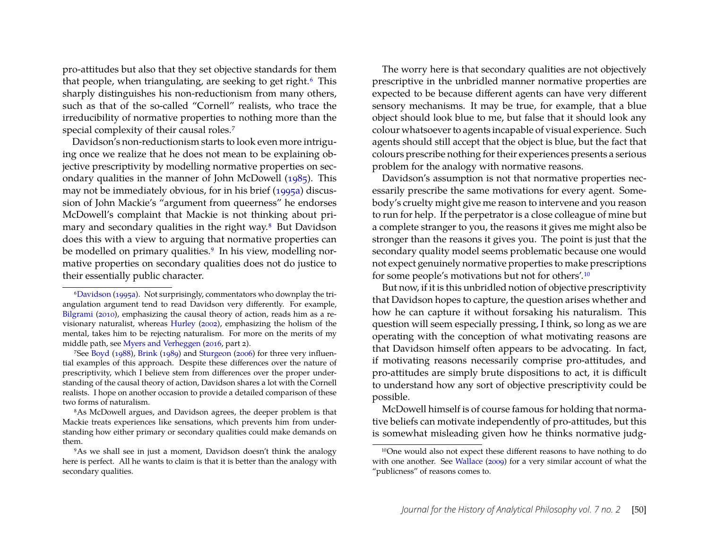pro-attitudes but also that they set objective standards for them that people, when triangulating, are seeking to get right.<sup>[6](#page-3-0)</sup> This sharply distinguishes his non-reductionism from many others, such as that of the so-called "Cornell" realists, who trace the irreducibility of normative properties to nothing more than the special complexity of their causal roles.[7](#page-3-1)

Davidson's non-reductionism starts to look even more intriguing once we realize that he does not mean to be explaining objective prescriptivity by modelling normative properties on secondary qualities in the manner of John McDowell [\(1985\)](#page-10-3). This may not be immediately obvious, for in his brief [\(1995a\)](#page-10-1) discussion of John Mackie's "argument from queerness" he endorses McDowell's complaint that Mackie is not thinking about primary and secondary qualities in the right way.[8](#page-3-2) But Davidson does this with a view to arguing that normative properties can be modelled on primary qualities.<sup>[9](#page-3-3)</sup> In his view, modelling normative properties on secondary qualities does not do justice to their essentially public character.

The worry here is that secondary qualities are not objectively prescriptive in the unbridled manner normative properties are expected to be because different agents can have very different sensory mechanisms. It may be true, for example, that a blue object should look blue to me, but false that it should look any colour whatsoever to agents incapable of visual experience. Such agents should still accept that the object is blue, but the fact that colours prescribe nothing for their experiences presents a serious problem for the analogy with normative reasons.

Davidson's assumption is not that normative properties necessarily prescribe the same motivations for every agent. Somebody's cruelty might give me reason to intervene and you reason to run for help. If the perpetrator is a close colleague of mine but a complete stranger to you, the reasons it gives me might also be stronger than the reasons it gives you. The point is just that the secondary quality model seems problematic because one would not expect genuinely normative properties to make prescriptions for some people's motivations but not for others'.[10](#page-3-4)

But now, if it is this unbridled notion of objective prescriptivity that Davidson hopes to capture, the question arises whether and how he can capture it without forsaking his naturalism. This question will seem especially pressing, I think, so long as we are operating with the conception of what motivating reasons are that Davidson himself often appears to be advocating. In fact, if motivating reasons necessarily comprise pro-attitudes, and pro-attitudes are simply brute dispositions to act, it is difficult to understand how any sort of objective prescriptivity could be possible.

McDowell himself is of course famous for holding that normative beliefs can motivate independently of pro-attitudes, but this is somewhat misleading given how he thinks normative judg-

<span id="page-3-0"></span><sup>6</sup>[Davidson](#page-10-1) [\(1995a\)](#page-10-1). Not surprisingly, commentators who downplay the triangulation argument tend to read Davidson very differently. For example, [Bilgrami](#page-10-6) [\(2010\)](#page-10-6), emphasizing the causal theory of action, reads him as a revisionary naturalist, whereas [Hurley](#page-10-7) [\(2002\)](#page-10-7), emphasizing the holism of the mental, takes him to be rejecting naturalism. For more on the merits of my middle path, see [Myers and Verheggen](#page-11-4) [\(2016,](#page-11-4) part 2).

<span id="page-3-1"></span><sup>7</sup>See [Boyd](#page-10-8) [\(1988\)](#page-10-8), [Brink](#page-10-9) [\(1989\)](#page-10-9) and [Sturgeon](#page-11-5) [\(2006\)](#page-11-5) for three very influential examples of this approach. Despite these differences over the nature of prescriptivity, which I believe stem from differences over the proper understanding of the causal theory of action, Davidson shares a lot with the Cornell realists. I hope on another occasion to provide a detailed comparison of these two forms of naturalism.

<span id="page-3-2"></span><sup>8</sup>As McDowell argues, and Davidson agrees, the deeper problem is that Mackie treats experiences like sensations, which prevents him from understanding how either primary or secondary qualities could make demands on them.

<span id="page-3-3"></span><sup>9</sup>As we shall see in just a moment, Davidson doesn't think the analogy here is perfect. All he wants to claim is that it is better than the analogy with secondary qualities.

<span id="page-3-4"></span><sup>10</sup>One would also not expect these different reasons to have nothing to do with one another. See [Wallace](#page-11-6) [\(2009\)](#page-11-6) for a very similar account of what the "publicness" of reasons comes to.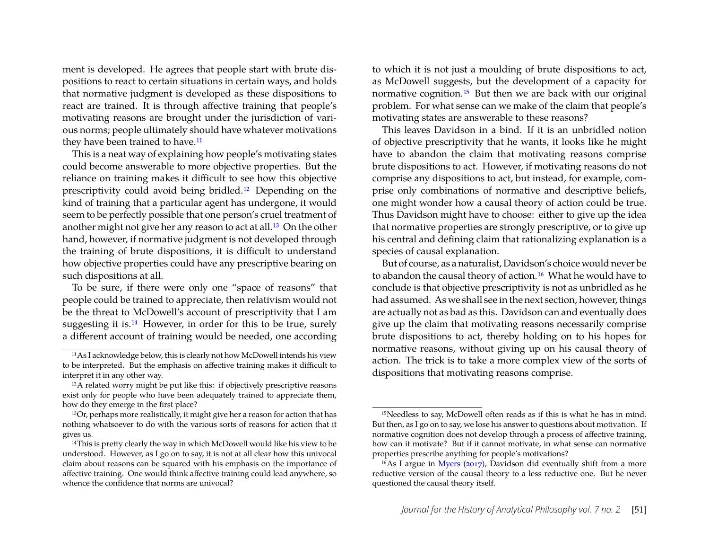ment is developed. He agrees that people start with brute dispositions to react to certain situations in certain ways, and holds that normative judgment is developed as these dispositions to react are trained. It is through affective training that people's motivating reasons are brought under the jurisdiction of various norms; people ultimately should have whatever motivations they have been trained to have.<sup>[11](#page-4-0)</sup>

This is a neat way of explaining how people's motivating states could become answerable to more objective properties. But the reliance on training makes it difficult to see how this objective prescriptivity could avoid being bridled.[12](#page-4-1) Depending on the kind of training that a particular agent has undergone, it would seem to be perfectly possible that one person's cruel treatment of another might not give her any reason to act at all.[13](#page-4-2) On the other hand, however, if normative judgment is not developed through the training of brute dispositions, it is difficult to understand how objective properties could have any prescriptive bearing on such dispositions at all.

To be sure, if there were only one "space of reasons" that people could be trained to appreciate, then relativism would not be the threat to McDowell's account of prescriptivity that I am suggesting it is.[14](#page-4-3) However, in order for this to be true, surely a different account of training would be needed, one according

to which it is not just a moulding of brute dispositions to act, as McDowell suggests, but the development of a capacity for normative cognition.[15](#page-4-4) But then we are back with our original problem. For what sense can we make of the claim that people's motivating states are answerable to these reasons?

This leaves Davidson in a bind. If it is an unbridled notion of objective prescriptivity that he wants, it looks like he might have to abandon the claim that motivating reasons comprise brute dispositions to act. However, if motivating reasons do not comprise any dispositions to act, but instead, for example, comprise only combinations of normative and descriptive beliefs, one might wonder how a causal theory of action could be true. Thus Davidson might have to choose: either to give up the idea that normative properties are strongly prescriptive, or to give up his central and defining claim that rationalizing explanation is a species of causal explanation.

But of course, as a naturalist, Davidson's choice would never be to abandon the causal theory of action.<sup>[16](#page-4-5)</sup> What he would have to conclude is that objective prescriptivity is not as unbridled as he had assumed. As we shall see in the next section, however, things are actually not as bad as this. Davidson can and eventually does give up the claim that motivating reasons necessarily comprise brute dispositions to act, thereby holding on to his hopes for normative reasons, without giving up on his causal theory of action. The trick is to take a more complex view of the sorts of dispositions that motivating reasons comprise.

<span id="page-4-0"></span><sup>11</sup>As I acknowledge below, this is clearly not how McDowell intends his view to be interpreted. But the emphasis on affective training makes it difficult to interpret it in any other way.

<span id="page-4-1"></span><sup>&</sup>lt;sup>12</sup>A related worry might be put like this: if objectively prescriptive reasons exist only for people who have been adequately trained to appreciate them, how do they emerge in the first place?

<span id="page-4-2"></span><sup>13</sup>Or, perhaps more realistically, it might give her a reason for action that has nothing whatsoever to do with the various sorts of reasons for action that it gives us.

<span id="page-4-3"></span><sup>&</sup>lt;sup>14</sup>This is pretty clearly the way in which McDowell would like his view to be understood. However, as I go on to say, it is not at all clear how this univocal claim about reasons can be squared with his emphasis on the importance of affective training. One would think affective training could lead anywhere, so whence the confidence that norms are univocal?

<span id="page-4-4"></span><sup>&</sup>lt;sup>15</sup>Needless to say, McDowell often reads as if this is what he has in mind. But then, as I go on to say, we lose his answer to questions about motivation. If normative cognition does not develop through a process of affective training, how can it motivate? But if it cannot motivate, in what sense can normative properties prescribe anything for people's motivations?

<span id="page-4-5"></span><sup>&</sup>lt;sup>16</sup>As I argue in [Myers](#page-11-0) [\(2017\)](#page-11-0), Davidson did eventually shift from a more reductive version of the causal theory to a less reductive one. But he never questioned the causal theory itself.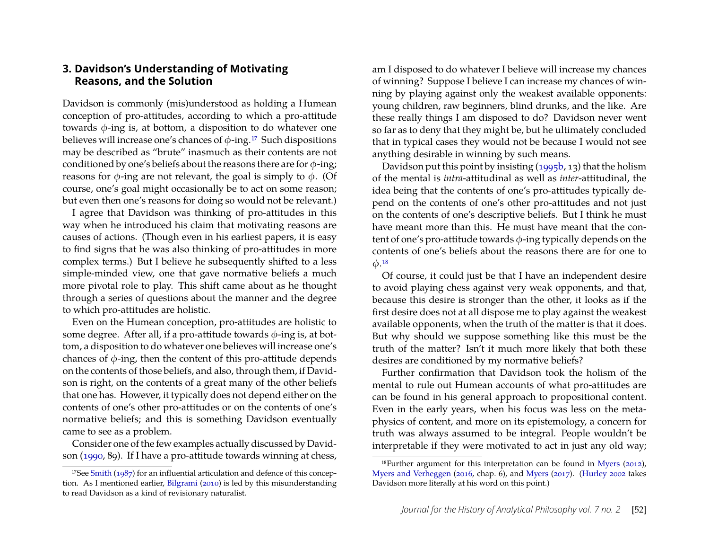#### **3. Davidson's Understanding of Motivating Reasons, and the Solution**

Davidson is commonly (mis)understood as holding a Humean conception of pro-attitudes, according to which a pro-attitude towards  $\phi$ -ing is, at bottom, a disposition to do whatever one believes will increase one's chances of  $\phi$ -ing.<sup>[17](#page-5-0)</sup> Such dispositions may be described as "brute" inasmuch as their contents are not conditioned by one's beliefs about the reasons there are for  $\phi$ -ing; reasons for  $\phi$ -ing are not relevant, the goal is simply to  $\phi$ . (Of course, one's goal might occasionally be to act on some reason; but even then one's reasons for doing so would not be relevant.)

I agree that Davidson was thinking of pro-attitudes in this way when he introduced his claim that motivating reasons are causes of actions. (Though even in his earliest papers, it is easy to find signs that he was also thinking of pro-attitudes in more complex terms.) But I believe he subsequently shifted to a less simple-minded view, one that gave normative beliefs a much more pivotal role to play. This shift came about as he thought through a series of questions about the manner and the degree to which pro-attitudes are holistic.

Even on the Humean conception, pro-attitudes are holistic to some degree. After all, if a pro-attitude towards  $\phi$ -ing is, at bottom, a disposition to do whatever one believes will increase one's chances of  $\phi$ -ing, then the content of this pro-attitude depends on the contents of those beliefs, and also, through them, if Davidson is right, on the contents of a great many of the other beliefs that one has. However, it typically does not depend either on the contents of one's other pro-attitudes or on the contents of one's normative beliefs; and this is something Davidson eventually came to see as a problem.

Consider one of the few examples actually discussed by Davidson [\(1990,](#page-10-10) 89). If I have a pro-attitude towards winning at chess,

am I disposed to do whatever I believe will increase my chances of winning? Suppose I believe I can increase my chances of winning by playing against only the weakest available opponents: young children, raw beginners, blind drunks, and the like. Are these really things I am disposed to do? Davidson never went so far as to deny that they might be, but he ultimately concluded that in typical cases they would not be because I would not see anything desirable in winning by such means.

Davidson put this point by insisting  $(1995b, 13)$  that the holism of the mental is *intra*-attitudinal as well as *inter*-attitudinal, the idea being that the contents of one's pro-attitudes typically depend on the contents of one's other pro-attitudes and not just on the contents of one's descriptive beliefs. But I think he must have meant more than this. He must have meant that the content of one's pro-attitude towards  $\phi$ -ing typically depends on the contents of one's beliefs about the reasons there are for one to  $\phi$ <sup>[18](#page-5-1)</sup>

Of course, it could just be that I have an independent desire to avoid playing chess against very weak opponents, and that, because this desire is stronger than the other, it looks as if the first desire does not at all dispose me to play against the weakest available opponents, when the truth of the matter is that it does. But why should we suppose something like this must be the truth of the matter? Isn't it much more likely that both these desires are conditioned by my normative beliefs?

Further confirmation that Davidson took the holism of the mental to rule out Humean accounts of what pro-attitudes are can be found in his general approach to propositional content. Even in the early years, when his focus was less on the metaphysics of content, and more on its epistemology, a concern for truth was always assumed to be integral. People wouldn't be interpretable if they were motivated to act in just any old way;

<span id="page-5-0"></span><sup>17</sup>See [Smith](#page-11-7) [\(1987\)](#page-11-7) for an influential articulation and defence of this conception. As I mentioned earlier, [Bilgrami](#page-10-6) [\(2010\)](#page-10-6) is led by this misunderstanding to read Davidson as a kind of revisionary naturalist.

<span id="page-5-1"></span><sup>18</sup>Further argument for this interpretation can be found in [Myers](#page-10-12) [\(2012\)](#page-10-12), [Myers and Verheggen](#page-11-4) [\(2016,](#page-11-4) chap. 6), and [Myers](#page-11-0) [\(2017\)](#page-11-0). [\(Hurley 2002](#page-10-7) takes Davidson more literally at his word on this point.)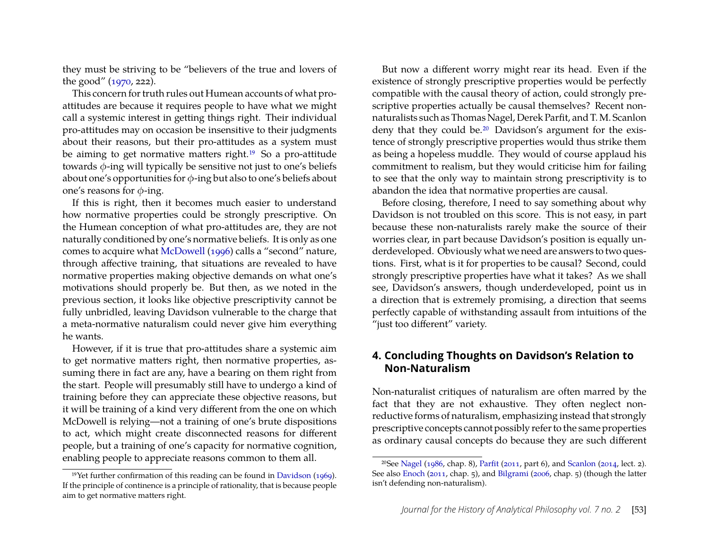they must be striving to be "believers of the true and lovers of the good" [\(1970,](#page-10-2) 222).

This concern for truth rules out Humean accounts of what proattitudes are because it requires people to have what we might call a systemic interest in getting things right. Their individual pro-attitudes may on occasion be insensitive to their judgments about their reasons, but their pro-attitudes as a system must be aiming to get normative matters right.<sup>[19](#page-6-0)</sup> So a pro-attitude towards  $\phi$ -ing will typically be sensitive not just to one's beliefs about one's opportunities for  $\phi$ -ing but also to one's beliefs about one's reasons for  $\phi$ -ing.

If this is right, then it becomes much easier to understand how normative properties could be strongly prescriptive. On the Humean conception of what pro-attitudes are, they are not naturally conditioned by one's normative beliefs. It is only as one comes to acquire what [McDowell](#page-10-4) [\(1996\)](#page-10-4) calls a "second" nature, through affective training, that situations are revealed to have normative properties making objective demands on what one's motivations should properly be. But then, as we noted in the previous section, it looks like objective prescriptivity cannot be fully unbridled, leaving Davidson vulnerable to the charge that a meta-normative naturalism could never give him everything he wants.

However, if it is true that pro-attitudes share a systemic aim to get normative matters right, then normative properties, assuming there in fact are any, have a bearing on them right from the start. People will presumably still have to undergo a kind of training before they can appreciate these objective reasons, but it will be training of a kind very different from the one on which McDowell is relying—not a training of one's brute dispositions to act, which might create disconnected reasons for different people, but a training of one's capacity for normative cognition, enabling people to appreciate reasons common to them all.

But now a different worry might rear its head. Even if the existence of strongly prescriptive properties would be perfectly compatible with the causal theory of action, could strongly prescriptive properties actually be causal themselves? Recent nonnaturalists such as Thomas Nagel, Derek Parfit, and T. M. Scanlon deny that they could be.[20](#page-6-1) Davidson's argument for the existence of strongly prescriptive properties would thus strike them as being a hopeless muddle. They would of course applaud his commitment to realism, but they would criticise him for failing to see that the only way to maintain strong prescriptivity is to abandon the idea that normative properties are causal.

Before closing, therefore, I need to say something about why Davidson is not troubled on this score. This is not easy, in part because these non-naturalists rarely make the source of their worries clear, in part because Davidson's position is equally underdeveloped. Obviously what we need are answers to two questions. First, what is it for properties to be causal? Second, could strongly prescriptive properties have what it takes? As we shall see, Davidson's answers, though underdeveloped, point us in a direction that is extremely promising, a direction that seems perfectly capable of withstanding assault from intuitions of the "just too different" variety.

## **4. Concluding Thoughts on Davidson's Relation to Non-Naturalism**

Non-naturalist critiques of naturalism are often marred by the fact that they are not exhaustive. They often neglect nonreductive forms of naturalism, emphasizing instead that strongly prescriptive concepts cannot possibly refer to the same properties as ordinary causal concepts do because they are such different

<span id="page-6-0"></span><sup>&</sup>lt;sup>19</sup>Yet further confirmation of this reading can be found in [Davidson](#page-10-13) [\(1969\)](#page-10-13). If the principle of continence is a principle of rationality, that is because people aim to get normative matters right.

<span id="page-6-1"></span><sup>20</sup>See [Nagel](#page-11-8) [\(1986,](#page-11-8) chap. 8), [Parfit](#page-11-2) [\(2011,](#page-11-2) part 6), and [Scanlon](#page-11-9) [\(2014,](#page-11-9) lect. 2). See also [Enoch](#page-10-5) [\(2011,](#page-10-5) chap. 5), and [Bilgrami](#page-10-14) [\(2006,](#page-10-14) chap. 5) (though the latter isn't defending non-naturalism).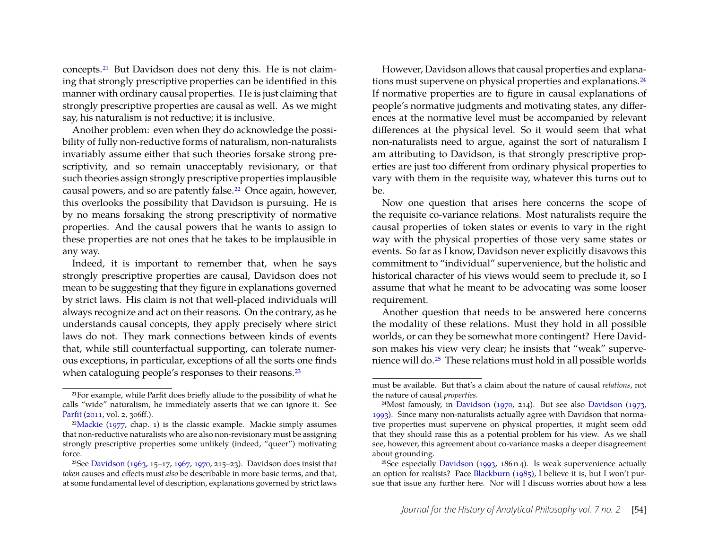concepts.[21](#page-7-0) But Davidson does not deny this. He is not claiming that strongly prescriptive properties can be identified in this manner with ordinary causal properties. He is just claiming that strongly prescriptive properties are causal as well. As we might say, his naturalism is not reductive; it is inclusive.

Another problem: even when they do acknowledge the possibility of fully non-reductive forms of naturalism, non-naturalists invariably assume either that such theories forsake strong prescriptivity, and so remain unacceptably revisionary, or that such theories assign strongly prescriptive properties implausible causal powers, and so are patently false.<sup>[22](#page-7-1)</sup> Once again, however, this overlooks the possibility that Davidson is pursuing. He is by no means forsaking the strong prescriptivity of normative properties. And the causal powers that he wants to assign to these properties are not ones that he takes to be implausible in any way.

Indeed, it is important to remember that, when he says strongly prescriptive properties are causal, Davidson does not mean to be suggesting that they figure in explanations governed by strict laws. His claim is not that well-placed individuals will always recognize and act on their reasons. On the contrary, as he understands causal concepts, they apply precisely where strict laws do not. They mark connections between kinds of events that, while still counterfactual supporting, can tolerate numerous exceptions, in particular, exceptions of all the sorts one finds when cataloguing people's responses to their reasons.<sup>[23](#page-7-2)</sup>

However, Davidson allows that causal properties and explana-tions must supervene on physical properties and explanations.<sup>[24](#page-7-3)</sup> If normative properties are to figure in causal explanations of people's normative judgments and motivating states, any differences at the normative level must be accompanied by relevant differences at the physical level. So it would seem that what non-naturalists need to argue, against the sort of naturalism I am attributing to Davidson, is that strongly prescriptive properties are just too different from ordinary physical properties to vary with them in the requisite way, whatever this turns out to be.

Now one question that arises here concerns the scope of the requisite co-variance relations. Most naturalists require the causal properties of token states or events to vary in the right way with the physical properties of those very same states or events. So far as I know, Davidson never explicitly disavows this commitment to "individual" supervenience, but the holistic and historical character of his views would seem to preclude it, so I assume that what he meant to be advocating was some looser requirement.

Another question that needs to be answered here concerns the modality of these relations. Must they hold in all possible worlds, or can they be somewhat more contingent? Here Davidson makes his view very clear; he insists that "weak" supervenience will do.[25](#page-7-4) These relations must hold in all possible worlds

<span id="page-7-0"></span><sup>21</sup>For example, while Parfit does briefly allude to the possibility of what he calls "wide" naturalism, he immediately asserts that we can ignore it. See [Parfit](#page-11-2) [\(2011,](#page-11-2) vol. 2, 306ff.).

<span id="page-7-1"></span><sup>&</sup>lt;sup>22</sup>[Mackie](#page-10-15) [\(1977,](#page-10-15) chap. 1) is the classic example. Mackie simply assumes that non-reductive naturalists who are also non-revisionary must be assigning strongly prescriptive properties some unlikely (indeed, "queer") motivating force.

<span id="page-7-2"></span><sup>23</sup>See [Davidson](#page-10-0) [\(1963,](#page-10-0) 15–17, [1967,](#page-10-16) [1970,](#page-10-2) 215–23). Davidson does insist that *token* causes and effects must *also* be describable in more basic terms, and that, at some fundamental level of description, explanations governed by strict laws

must be available. But that's a claim about the nature of causal *relations*, not the nature of causal *properties*.

<span id="page-7-3"></span><sup>&</sup>lt;sup>24</sup>Most famously, in [Davidson](#page-10-17) [\(1970,](#page-10-2) 214). But see also Davidson [\(1973,](#page-10-17) [1993\)](#page-10-18). Since many non-naturalists actually agree with Davidson that normative properties must supervene on physical properties, it might seem odd that they should raise this as a potential problem for his view. As we shall see, however, this agreement about co-variance masks a deeper disagreement about grounding.

<span id="page-7-4"></span><sup>&</sup>lt;sup>25</sup>See especially [Davidson](#page-10-18) [\(1993,](#page-10-18) 186 n 4). Is weak supervenience actually an option for realists? Pace [Blackburn](#page-10-19) [\(1985\)](#page-10-19), I believe it is, but I won't pursue that issue any further here. Nor will I discuss worries about how a less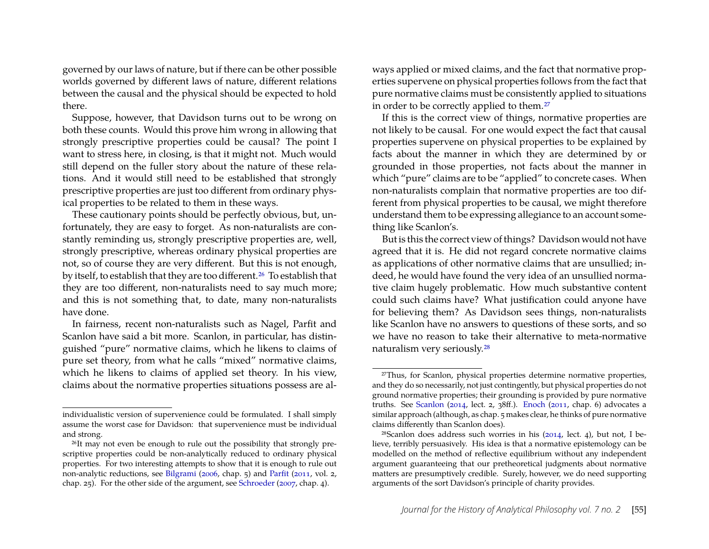governed by our laws of nature, but if there can be other possible worlds governed by different laws of nature, different relations between the causal and the physical should be expected to hold there.

Suppose, however, that Davidson turns out to be wrong on both these counts. Would this prove him wrong in allowing that strongly prescriptive properties could be causal? The point I want to stress here, in closing, is that it might not. Much would still depend on the fuller story about the nature of these relations. And it would still need to be established that strongly prescriptive properties are just too different from ordinary physical properties to be related to them in these ways.

These cautionary points should be perfectly obvious, but, unfortunately, they are easy to forget. As non-naturalists are constantly reminding us, strongly prescriptive properties are, well, strongly prescriptive, whereas ordinary physical properties are not, so of course they are very different. But this is not enough, by itself, to establish that they are too different.[26](#page-8-0) To establish that they are too different, non-naturalists need to say much more; and this is not something that, to date, many non-naturalists have done.

In fairness, recent non-naturalists such as Nagel, Parfit and Scanlon have said a bit more. Scanlon, in particular, has distinguished "pure" normative claims, which he likens to claims of pure set theory, from what he calls "mixed" normative claims, which he likens to claims of applied set theory. In his view, claims about the normative properties situations possess are al-

ways applied or mixed claims, and the fact that normative properties supervene on physical properties follows from the fact that pure normative claims must be consistently applied to situations in order to be correctly applied to them.[27](#page-8-1)

If this is the correct view of things, normative properties are not likely to be causal. For one would expect the fact that causal properties supervene on physical properties to be explained by facts about the manner in which they are determined by or grounded in those properties, not facts about the manner in which "pure" claims are to be "applied" to concrete cases. When non-naturalists complain that normative properties are too different from physical properties to be causal, we might therefore understand them to be expressing allegiance to an account something like Scanlon's.

But is this the correct view of things? Davidson would not have agreed that it is. He did not regard concrete normative claims as applications of other normative claims that are unsullied; indeed, he would have found the very idea of an unsullied normative claim hugely problematic. How much substantive content could such claims have? What justification could anyone have for believing them? As Davidson sees things, non-naturalists like Scanlon have no answers to questions of these sorts, and so we have no reason to take their alternative to meta-normative naturalism very seriously.[28](#page-8-2)

individualistic version of supervenience could be formulated. I shall simply assume the worst case for Davidson: that supervenience must be individual and strong.

<span id="page-8-0"></span><sup>&</sup>lt;sup>26</sup>It may not even be enough to rule out the possibility that strongly prescriptive properties could be non-analytically reduced to ordinary physical properties. For two interesting attempts to show that it is enough to rule out non-analytic reductions, see [Bilgrami](#page-10-14) [\(2006,](#page-10-14) chap. 5) and [Parfit](#page-11-2) [\(2011,](#page-11-2) vol. 2, chap. 25). For the other side of the argument, see [Schroeder](#page-11-10) [\(2007,](#page-11-10) chap. 4).

<span id="page-8-1"></span><sup>&</sup>lt;sup>27</sup>Thus, for Scanlon, physical properties determine normative properties, and they do so necessarily, not just contingently, but physical properties do not ground normative properties; their grounding is provided by pure normative truths. See [Scanlon](#page-11-9) [\(2014,](#page-11-9) lect. 2, 38ff.). [Enoch](#page-10-5) [\(2011,](#page-10-5) chap. 6) advocates a similar approach (although, as chap. 5 makes clear, he thinks of pure normative claims differently than Scanlon does).

<span id="page-8-2"></span> $28$ Scanlon does address such worries in his [\(2014,](#page-11-9) lect. 4), but not, I believe, terribly persuasively. His idea is that a normative epistemology can be modelled on the method of reflective equilibrium without any independent argument guaranteeing that our pretheoretical judgments about normative matters are presumptively credible. Surely, however, we do need supporting arguments of the sort Davidson's principle of charity provides.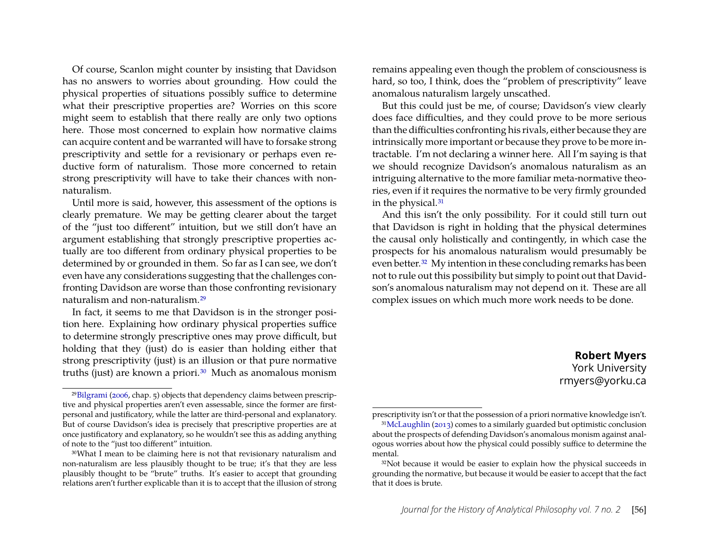Of course, Scanlon might counter by insisting that Davidson has no answers to worries about grounding. How could the physical properties of situations possibly suffice to determine what their prescriptive properties are? Worries on this score might seem to establish that there really are only two options here. Those most concerned to explain how normative claims can acquire content and be warranted will have to forsake strong prescriptivity and settle for a revisionary or perhaps even reductive form of naturalism. Those more concerned to retain strong prescriptivity will have to take their chances with nonnaturalism.

Until more is said, however, this assessment of the options is clearly premature. We may be getting clearer about the target of the "just too different" intuition, but we still don't have an argument establishing that strongly prescriptive properties actually are too different from ordinary physical properties to be determined by or grounded in them. So far as I can see, we don't even have any considerations suggesting that the challenges confronting Davidson are worse than those confronting revisionary naturalism and non-naturalism.[29](#page-9-0)

In fact, it seems to me that Davidson is in the stronger position here. Explaining how ordinary physical properties suffice to determine strongly prescriptive ones may prove difficult, but holding that they (just) do is easier than holding either that strong prescriptivity (just) is an illusion or that pure normative truths (just) are known a priori.<sup>[30](#page-9-1)</sup> Much as anomalous monism

remains appealing even though the problem of consciousness is hard, so too, I think, does the "problem of prescriptivity" leave anomalous naturalism largely unscathed.

But this could just be me, of course; Davidson's view clearly does face difficulties, and they could prove to be more serious than the difficulties confronting his rivals, either because they are intrinsically more important or because they prove to be more intractable. I'm not declaring a winner here. All I'm saying is that we should recognize Davidson's anomalous naturalism as an intriguing alternative to the more familiar meta-normative theories, even if it requires the normative to be very firmly grounded in the physical.[31](#page-9-2)

And this isn't the only possibility. For it could still turn out that Davidson is right in holding that the physical determines the causal only holistically and contingently, in which case the prospects for his anomalous naturalism would presumably be even better.[32](#page-9-3) My intention in these concluding remarks has been not to rule out this possibility but simply to point out that Davidson's anomalous naturalism may not depend on it. These are all complex issues on which much more work needs to be done.

> **Robert Myers** York University rmyers@yorku.ca

<span id="page-9-0"></span><sup>29</sup>[Bilgrami](#page-10-14) [\(2006,](#page-10-14) chap. 5) objects that dependency claims between prescriptive and physical properties aren't even assessable, since the former are firstpersonal and justificatory, while the latter are third-personal and explanatory. But of course Davidson's idea is precisely that prescriptive properties are at once justificatory and explanatory, so he wouldn't see this as adding anything of note to the "just too different" intuition.

<span id="page-9-1"></span><sup>30</sup>What I mean to be claiming here is not that revisionary naturalism and non-naturalism are less plausibly thought to be true; it's that they are less plausibly thought to be "brute" truths. It's easier to accept that grounding relations aren't further explicable than it is to accept that the illusion of strong

<span id="page-9-2"></span>prescriptivity isn't or that the possession of a priori normative knowledge isn't. 31[McLaughlin](#page-10-20) [\(2013\)](#page-10-20) comes to a similarly guarded but optimistic conclusion about the prospects of defending Davidson's anomalous monism against analogous worries about how the physical could possibly suffice to determine the mental.

<span id="page-9-3"></span><sup>&</sup>lt;sup>32</sup>Not because it would be easier to explain how the physical succeeds in grounding the normative, but because it would be easier to accept that the fact that it does is brute.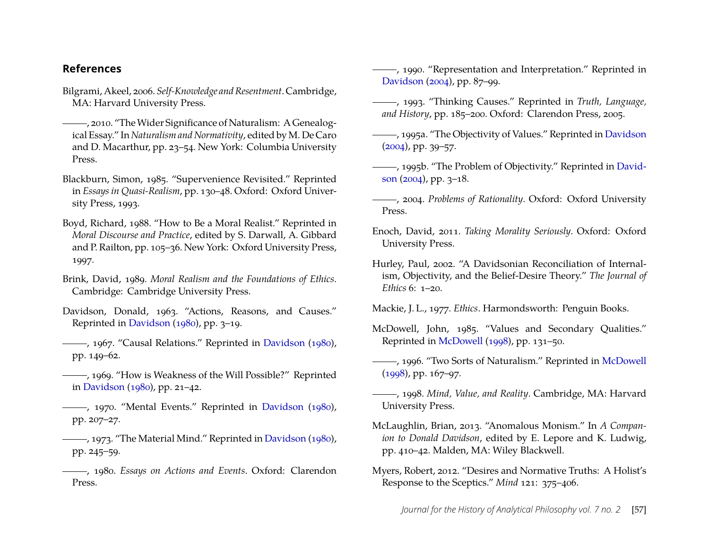#### **References**

- <span id="page-10-14"></span>Bilgrami, Akeel, 2006. *Self-Knowledge and Resentment*. Cambridge, MA: Harvard University Press.
- <span id="page-10-6"></span>, 2010. "TheWider Significance of Naturalism: A Genealogical Essay." In *Naturalism and Normativity*, edited by M. De Caro and D. Macarthur, pp. 23–54. New York: Columbia University Press.
- <span id="page-10-19"></span>Blackburn, Simon, 1985. "Supervenience Revisited." Reprinted in *Essays in Quasi-Realism*, pp. 130–48. Oxford: Oxford University Press, 1993.
- <span id="page-10-8"></span>Boyd, Richard, 1988. "How to Be a Moral Realist." Reprinted in *Moral Discourse and Practice*, edited by S. Darwall, A. Gibbard and P. Railton, pp. 105–36. New York: Oxford University Press, 1997.
- <span id="page-10-9"></span>Brink, David, 1989. *Moral Realism and the Foundations of Ethics*. Cambridge: Cambridge University Press.
- <span id="page-10-0"></span>Davidson, Donald, 1963. "Actions, Reasons, and Causes." Reprinted in [Davidson](#page-10-21) [\(1980\)](#page-10-21), pp. 3–19.
- <span id="page-10-16"></span>, 1967. "Causal Relations." Reprinted in [Davidson](#page-10-21) [\(1980\)](#page-10-21), pp. 149–62.
- <span id="page-10-13"></span>, 1969. "How is Weakness of the Will Possible?" Reprinted in [Davidson](#page-10-21) [\(1980\)](#page-10-21), pp. 21–42.
- <span id="page-10-2"></span>(1980), 1970. "Mental Events." Reprinted in [Davidson](#page-10-21) [\(1980\)](#page-10-21), pp. 207–27.
- <span id="page-10-17"></span>, 1973. "The Material Mind." Reprinted in [Davidson](#page-10-21) [\(1980\)](#page-10-21), pp. 245–59.
- <span id="page-10-21"></span>, 1980. *Essays on Actions and Events*. Oxford: Clarendon Press.

<span id="page-10-10"></span>(1990), "Representation and Interpretation." Reprinted in [Davidson](#page-10-22) [\(2004\)](#page-10-22), pp. 87–99.

- <span id="page-10-18"></span>, 1993. "Thinking Causes." Reprinted in *Truth, Language, and History*, pp. 185–200. Oxford: Clarendon Press, 2005.
- <span id="page-10-1"></span>, 1995a. "The Objectivity of Values." Reprinted in [Davidson](#page-10-22) [\(2004\)](#page-10-22), pp. 39–57.
- <span id="page-10-11"></span>, 1995b. "The Problem of Objectivity." Reprinted in [David](#page-10-22)[son](#page-10-22) [\(2004\)](#page-10-22), pp. 3–18.
- <span id="page-10-22"></span>, 2004. *Problems of Rationality*. Oxford: Oxford University Press.
- <span id="page-10-5"></span>Enoch, David, 2011. *Taking Morality Seriously*. Oxford: Oxford University Press.
- <span id="page-10-7"></span>Hurley, Paul, 2002. "A Davidsonian Reconciliation of Internalism, Objectivity, and the Belief-Desire Theory." *The Journal of Ethics* 6: 1–20.

<span id="page-10-15"></span>Mackie, J. L., 1977. *Ethics*. Harmondsworth: Penguin Books.

- <span id="page-10-3"></span>McDowell, John, 1985. "Values and Secondary Qualities." Reprinted in [McDowell](#page-10-23) [\(1998\)](#page-10-23), pp. 131–50.
- <span id="page-10-4"></span>, 1996. "Two Sorts of Naturalism." Reprinted in [McDowell](#page-10-23) [\(1998\)](#page-10-23), pp. 167–97.
- <span id="page-10-23"></span>, 1998. *Mind, Value, and Reality*. Cambridge, MA: Harvard University Press.
- <span id="page-10-20"></span>McLaughlin, Brian, 2013. "Anomalous Monism." In *A Companion to Donald Davidson*, edited by E. Lepore and K. Ludwig, pp. 410–42. Malden, MA: Wiley Blackwell.
- <span id="page-10-12"></span>Myers, Robert, 2012. "Desires and Normative Truths: A Holist's Response to the Sceptics." *Mind* 121: 375–406.